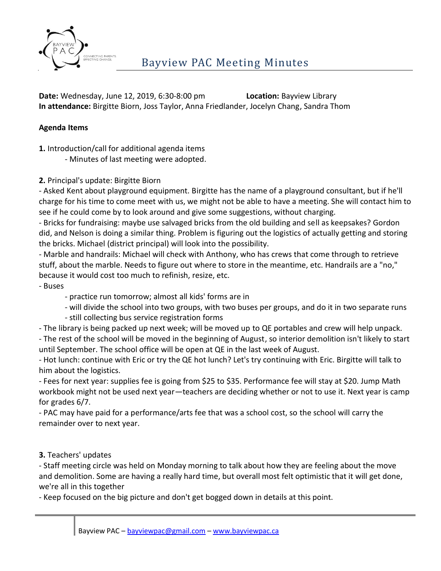

**Date:** Wednesday, June 12, 2019, 6:30-8:00 pm **Location:** Bayview Library **In attendance:** Birgitte Biorn, Joss Taylor, Anna Friedlander, Jocelyn Chang, Sandra Thom

## **Agenda Items**

**1.** Introduction/call for additional agenda items

- Minutes of last meeting were adopted.

**2.** Principal's update: Birgitte Biorn

- Asked Kent about playground equipment. Birgitte has the name of a playground consultant, but if he'll charge for his time to come meet with us, we might not be able to have a meeting. She will contact him to see if he could come by to look around and give some suggestions, without charging.

- Bricks for fundraising: maybe use salvaged bricks from the old building and sell as keepsakes? Gordon did, and Nelson is doing a similar thing. Problem is figuring out the logistics of actually getting and storing the bricks. Michael (district principal) will look into the possibility.

- Marble and handrails: Michael will check with Anthony, who has crews that come through to retrieve stuff, about the marble. Needs to figure out where to store in the meantime, etc. Handrails are a "no," because it would cost too much to refinish, resize, etc.

- Buses

- practice run tomorrow; almost all kids' forms are in

- will divide the school into two groups, with two buses per groups, and do it in two separate runs

- still collecting bus service registration forms

- The library is being packed up next week; will be moved up to QE portables and crew will help unpack.

- The rest of the school will be moved in the beginning of August, so interior demolition isn't likely to start until September. The school office will be open at QE in the last week of August.

- Hot lunch: continue with Eric or try the QE hot lunch? Let's try continuing with Eric. Birgitte will talk to him about the logistics.

- Fees for next year: supplies fee is going from \$25 to \$35. Performance fee will stay at \$20. Jump Math workbook might not be used next year—teachers are deciding whether or not to use it. Next year is camp for grades 6/7.

- PAC may have paid for a performance/arts fee that was a school cost, so the school will carry the remainder over to next year.

**3.** Teachers' updates

- Staff meeting circle was held on Monday morning to talk about how they are feeling about the move and demolition. Some are having a really hard time, but overall most felt optimistic that it will get done, we're all in this together

- Keep focused on the big picture and don't get bogged down in details at this point.